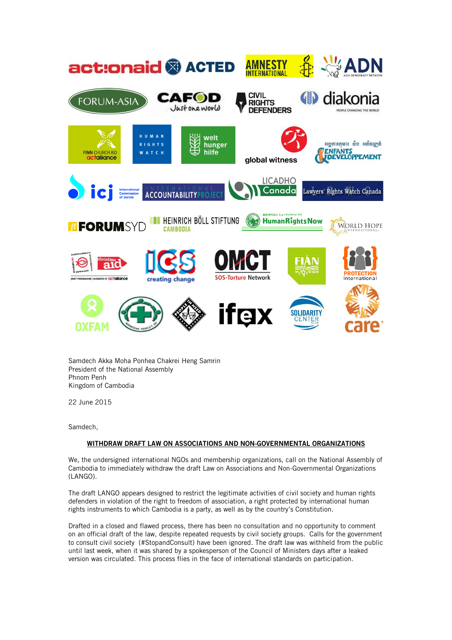

Samdech Akka Moha Ponhea Chakrei Heng Samrin President of the National Assembly Phnom Penh Kingdom of Cambodia

22 June 2015

Samdech,

## **WITHDRAW DRAFT LAW ON ASSOCIATIONS AND NON-GOVERNMENTAL ORGANIZATIONS**

We, the undersigned international NGOs and membership organizations, call on the National Assembly of Cambodia to immediately withdraw the draft Law on Associations and Non-Governmental Organizations (LANGO).

The draft LANGO appears designed to restrict the legitimate activities of civil society and human rights defenders in violation of the right to freedom of association, a right protected by international human rights instruments to which Cambodia is a party, as well as by the country's Constitution.

Drafted in a closed and flawed process, there has been no consultation and no opportunity to comment on an official draft of the law, despite repeated requests by civil society groups. Calls for the government to consult civil society (#StopandConsult) have been ignored. The draft law was withheld from the public until last week, when it was shared by a spokesperson of the Council of Ministers days after a leaked version was circulated. This process flies in the face of international standards on participation.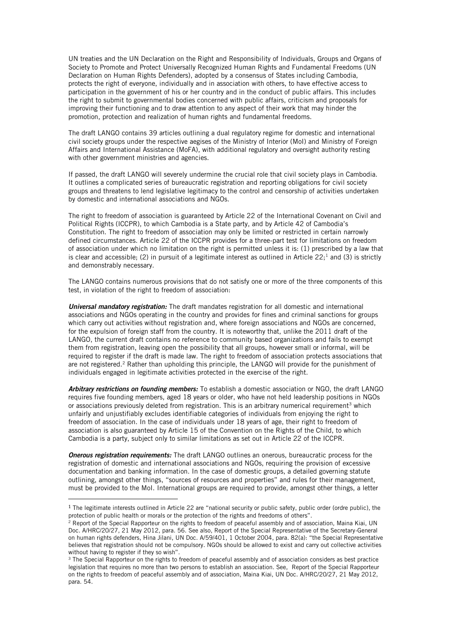UN treaties and the UN Declaration on the Right and Responsibility of Individuals, Groups and Organs of Society to Promote and Protect Universally Recognized Human Rights and Fundamental Freedoms (UN Declaration on Human Rights Defenders), adopted by a consensus of States including Cambodia, protects the right of everyone, individually and in association with others, to have effective access to participation in the government of his or her country and in the conduct of public affairs. This includes the right to submit to governmental bodies concerned with public affairs, criticism and proposals for improving their functioning and to draw attention to any aspect of their work that may hinder the promotion, protection and realization of human rights and fundamental freedoms.

The draft LANGO contains 39 articles outlining a dual regulatory regime for domestic and international civil society groups under the respective aegises of the Ministry of Interior (MoI) and Ministry of Foreign Affairs and International Assistance (MoFA), with additional regulatory and oversight authority resting with other government ministries and agencies.

If passed, the draft LANGO will severely undermine the crucial role that civil society plays in Cambodia. It outlines a complicated series of bureaucratic registration and reporting obligations for civil society groups and threatens to lend legislative legitimacy to the control and censorship of activities undertaken by domestic and international associations and NGOs.

The right to freedom of association is guaranteed by Article 22 of the International Covenant on Civil and Political Rights (ICCPR), to which Cambodia is a State party, and by Article 42 of Cambodia's Constitution. The right to freedom of association may only be limited or restricted in certain narrowly defined circumstances. Article 22 of the ICCPR provides for a three-part test for limitations on freedom of association under which no limitation on the right is permitted unless it is: (1) prescribed by a law that is clear and accessible; (2) in pursuit of a legitimate interest as outlined in Article  $22$ ; and (3) is strictly and demonstrably necessary.

The LANGO contains numerous provisions that do not satisfy one or more of the three components of this test, in violation of the right to freedom of association:

*Universal mandatory registration:* The draft mandates registration for all domestic and international associations and NGOs operating in the country and provides for fines and criminal sanctions for groups which carry out activities without registration and, where foreign associations and NGOs are concerned, for the expulsion of foreign staff from the country. It is noteworthy that, unlike the 2011 draft of the LANGO, the current draft contains no reference to community based organizations and fails to exempt them from registration, leaving open the possibility that all groups, however small or informal, will be required to register if the draft is made law. The right to freedom of association protects associations that are not registered.<sup>2</sup> Rather than upholding this principle, the LANGO will provide for the punishment of individuals engaged in legitimate activities protected in the exercise of the right.

*Arbitrary restrictions on founding members:* To establish a domestic association or NGO, the draft LANGO requires five founding members, aged 18 years or older, who have not held leadership positions in NGOs or associations previously deleted from registration. This is an arbitrary numerical requirement<sup>3</sup> which unfairly and unjustifiably excludes identifiable categories of individuals from enjoying the right to freedom of association. In the case of individuals under 18 years of age, their right to freedom of association is also guaranteed by Article 15 of the Convention on the Rights of the Child, to which Cambodia is a party, subject only to similar limitations as set out in Article 22 of the ICCPR.

*Onerous registration requirements:* The draft LANGO outlines an onerous, bureaucratic process for the registration of domestic and international associations and NGOs, requiring the provision of excessive documentation and banking information. In the case of domestic groups, a detailed governing statute outlining, amongst other things, "sources of resources and properties" and rules for their management, must be provided to the MoI. International groups are required to provide, amongst other things, a letter

 $\overline{a}$ 

 $1$  The legitimate interests outlined in Article 22 are "national security or public safety, public order (ordre public), the protection of public health or morals or the protection of the rights and freedoms of others".

<sup>&</sup>lt;sup>2</sup> Report of the Special Rapporteur on the rights to freedom of peaceful assembly and of association, Maina Kiai, UN Doc. A/HRC/20/27, 21 May 2012, para. 56. See also, Report of the Special Representative of the Secretary-General on human rights defenders, Hina Jilani, UN Doc. A/59/401, 1 October 2004, para. 82(a): "the Special Representative believes that registration should not be compulsory. NGOs should be allowed to exist and carry out collective activities without having to register if they so wish".

<sup>&</sup>lt;sup>3</sup> The Special Rapporteur on the rights to freedom of peaceful assembly and of association considers as best practice legislation that requires no more than two persons to establish an association. See, Report of the Special Rapporteur on the rights to freedom of peaceful assembly and of association, Maina Kiai, UN Doc. A/HRC/20/27, 21 May 2012, para. 54.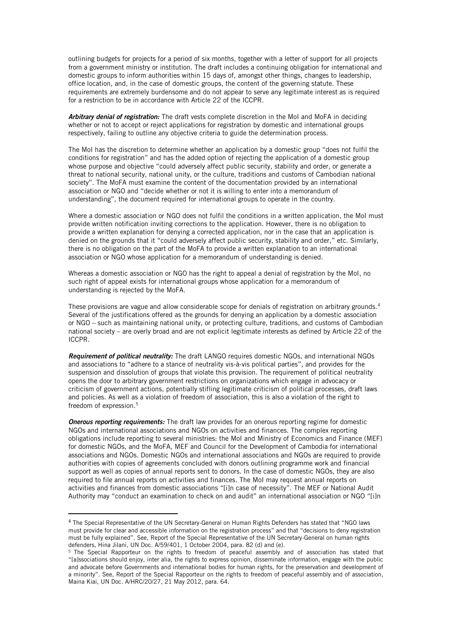outlining budgets for projects for a period of six months, together with a letter of support for all projects from a government ministry or institution. The draft includes a continuing obligation for international and domestic groups to inform authorities within 15 days of, amongst other things, changes to leadership, office location, and, in the case of domestic groups, the content of the governing statute. These requirements are extremely burdensome and do not appear to serve any legitimate interest as is required for a restriction to be in accordance with Article 22 of the ICCPR.

*Arbitrary denial of registration:* The draft vests complete discretion in the MoI and MoFA in deciding whether or not to accept or reject applications for registration by domestic and international groups respectively, failing to outline any objective criteria to guide the determination process.

The MoI has the discretion to determine whether an application by a domestic group "does not fulfil the conditions for registration" and has the added option of rejecting the application of a domestic group whose purpose and objective "could adversely affect public security, stability and order, or generate a threat to national security, national unity, or the culture, traditions and customs of Cambodian national society". The MoFA must examine the content of the documentation provided by an international association or NGO and "decide whether or not it is willing to enter into a memorandum of understanding", the document required for international groups to operate in the country.

Where a domestic association or NGO does not fulfil the conditions in a written application, the MoI must provide written notification inviting corrections to the application. However, there is no obligation to provide a written explanation for denying a corrected application, nor in the case that an application is denied on the grounds that it "could adversely affect public security, stability and order," etc. Similarly, there is no obligation on the part of the MoFA to provide a written explanation to an international association or NGO whose application for a memorandum of understanding is denied.

Whereas a domestic association or NGO has the right to appeal a denial of registration by the MoI, no such right of appeal exists for international groups whose application for a memorandum of understanding is rejected by the MoFA.

These provisions are vague and allow considerable scope for denials of registration on arbitrary grounds.<sup>4</sup> Several of the justifications offered as the grounds for denying an application by a domestic association or NGO – such as maintaining national unity, or protecting culture, traditions, and customs of Cambodian national society – are overly broad and are not explicit legitimate interests as defined by Article 22 of the ICCPR.

*Requirement of political neutrality:* The draft LANGO requires domestic NGOs, and international NGOs and associations to "adhere to a stance of neutrality vis-à-vis political parties", and provides for the suspension and dissolution of groups that violate this provision. The requirement of political neutrality opens the door to arbitrary government restrictions on organizations which engage in advocacy or criticism of government actions, potentially stifling legitimate criticism of political processes, draft laws and policies. As well as a violation of freedom of association, this is also a violation of the right to freedom of expression.<sup>5</sup>

*Onerous reporting requirements:* The draft law provides for an onerous reporting regime for domestic NGOs and international associations and NGOs on activities and finances. The complex reporting obligations include reporting to several ministries: the MoI and Ministry of Economics and Finance (MEF) for domestic NGOs, and the MoFA, MEF and Council for the Development of Cambodia for international associations and NGOs. Domestic NGOs and international associations and NGOs are required to provide authorities with copies of agreements concluded with donors outlining programme work and financial support as well as copies of annual reports sent to donors. In the case of domestic NGOs, they are also required to file annual reports on activities and finances. The MoI may request annual reports on activities and finances from domestic associations "[i]n case of necessity". The MEF or National Audit Authority may "conduct an examination to check on and audit" an international association or NGO "[i]n

 $\overline{a}$ 

<sup>4</sup> The Special Representative of the UN Secretary-General on Human Rights Defenders has stated that "NGO laws must provide for clear and accessible information on the registration process" and that "decisions to deny registration must be fully explained". See, Report of the Special Representative of the UN Secretary-General on human rights defenders, Hina Jilani, UN Doc. A/59/401, 1 October 2004, para. 82 (d) and (e).

<sup>5</sup> The Special Rapporteur on the rights to freedom of peaceful assembly and of association has stated that "[a]ssociations should enjoy, inter alia, the rights to express opinion, disseminate information, engage with the public and advocate before Governments and international bodies for human rights, for the preservation and development of a minority". See, Report of the Special Rapporteur on the rights to freedom of peaceful assembly and of association, Maina Kiai, UN Doc. A/HRC/20/27, 21 May 2012, para. 64.